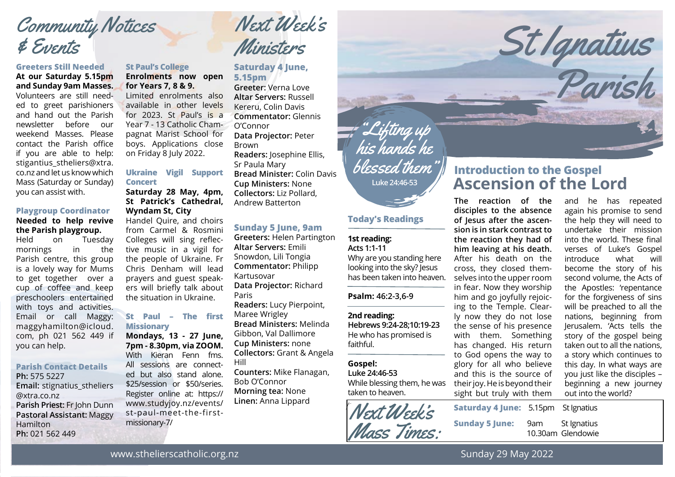# Community Notices & Events

### **Greeters Still Needed**

**At our Saturday 5.15pm and Sunday 9am Masses.**

Volunteers are still needed to greet parishioners and hand out the Parish newsletter before our weekend Masses. Please contact the Parish office if you are able to help: stigantius stheliers@xtra. co.nz and let us know which Mass (Saturday or Sunday) you can assist with.

## **Playgroup Coordinator**

#### **Needed to help revive the Parish playgroup.**

Held on Tuesday mornings in the Parish centre, this group is a lovely way for Mums to get together over a cup of coffee and keep preschoolers entertained with toys and activities. Email or call Maggy: maggyhamilton@icloud. com, ph 021 562 449 if you can help.

### **Parish Contact Details**

**Ph:** 575 5227 **Email:** stignatius\_stheliers @xtra.co.nz **Parish Priest:** Fr John Dunn **Pastoral Assistant:** Maggy **Hamilton Ph:** 021 562 449

#### **St Paul's College Enrolments now open for Years 7, 8 & 9.**

Limited enrolments also available in other levels for 2023. St Paul's is a Year 7 - 13 Catholic Champagnat Marist School for boys. Applications close on Friday 8 July 2022.

#### **Ukraine Vigil Support Concert**

**Saturday 28 May, 4pm, St Patrick's Cathedral, Wyndam St, City** Handel Quire, and choirs from Carmel & Rosmini Colleges will sing reflective music in a vigil for the people of Ukraine. Fr Chris Denham will lead prayers and guest speakers will briefly talk about the situation in Ukraine.

#### **St Paul – The first Missionary**

**Mondays, 13 - 27 June, 7pm - 8.30pm, via ZOOM.** With Kieran Fenn fms. All sessions are connected but also stand alone. \$25/session or \$50/series. Register online at: https:// www.studyjoy.nz/events/ st-paul-meet-the-firstmissionary-7/



#### **Saturday 4 June, 5.15pm**

**Greeter:** Verna Love **Altar Servers:** Russell Kereru, Colin Davis **Commentator:** Glennis O'Connor **Data Projector:** Peter Brown **Readers:** Josephine Ellis, Sr Paula Mary **Bread Minister:** Colin Davis **Cup Ministers:** None **Collectors:** Liz Pollard, Andrew Batterton

#### **Sunday 5 June, 9am**

**Greeters:** Helen Partington **Altar Servers:** Emili Snowdon, Lili Tongia **Commentator:** Philipp Kartusovar **Data Projector:** Richard Paris **Readers:** Lucy Pierpoint, Maree Wrigley **Bread Ministers:** Melinda Gibbon, Val Dallimore **Cup Ministers:** none **Collectors:** Grant & Angela Hill **Counters:** Mike Flanagan, Bob O'Connor **Morning tea:** None **Linen:** Anna Lippard



#### **Today's Readings**

#### **1st reading: Acts 1:1-11**

Why are you standing here looking into the sky? Jesus has been taken into heaven.

**Psalm: 46:2-3,6-9**

## **2nd reading:**

**Hebrews 9:24-28;10:19-23** He who has promised is faithful.

#### **Gospel:**

**Luke 24:46-53**

While blessing them, he was taken to heaven.



# **Ascension of the Lord Introduction to the Gospel**

St Ignatius

Parish

**The reaction of the disciples to the absence of Jesus after the ascension is in stark contrast to the reaction they had of him leaving at his death.**  After his death on the cross, they closed themselves into the upper room in fear. Now they worship him and go joyfully rejoicing to the Temple. Clearly now they do not lose the sense of his presence with them. Something has changed. His return to God opens the way to glory for all who believe and this is the source of their joy. He is beyond their sight but truly with them

and he has repeated again his promise to send the help they will need to undertake their mission into the world. These final verses of Luke's Gospel introduce what will become the story of his second volume, the Acts of the Apostles: 'repentance for the forgiveness of sins will be preached to all the nations, beginning from Jerusalem. 'Acts tells the story of the gospel being taken out to all the nations, a story which continues to this day. In what ways are you just like the disciples – beginning a new journey out into the world?

| <b>Saturday 4 June: 5.15pm St Ignatius</b> |                                      |
|--------------------------------------------|--------------------------------------|
| <b>Sunday 5 June:</b>                      | 9am St Ignatius<br>10.30am Glendowie |

www.sthelierscatholic.org.nz

Sunday 29 May 2022